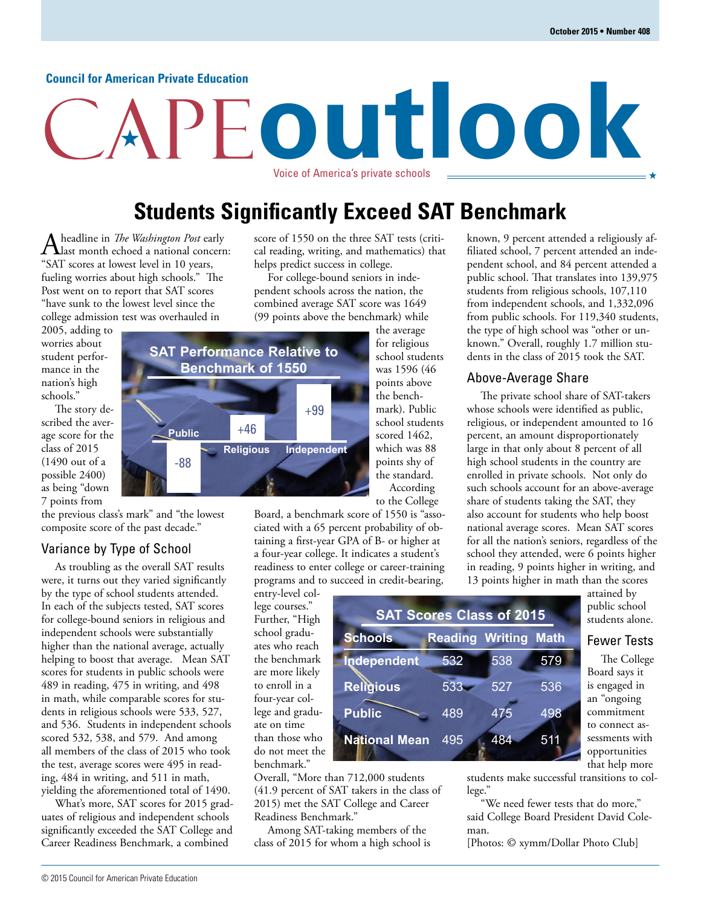#### **Council for American Private Education**

# **outlook** Voice of America's private schools

**Students Significantly Exceed SAT Benchmark**

A headline in *The Washington Post* early<br> **A** last month echoed a national concern:<br> **A** last month echoed a national concern: "SAT scores at lowest level in 10 years, fueling worries about high schools." The Post went on to report that SAT scores "have sunk to the lowest level since the college admission test was overhauled in

2005, adding to worries about student performance in the nation's high schools."

The story described the average score for the class of 2015 (1490 out of a possible 2400) as being "down 7 points from

the previous class's mark" and "the lowest composite score of the past decade."

## Variance by Type of School

As troubling as the overall SAT results were, it turns out they varied significantly by the type of school students attended. In each of the subjects tested, SAT scores for college-bound seniors in religious and independent schools were substantially higher than the national average, actually helping to boost that average. Mean SAT scores for students in public schools were 489 in reading, 475 in writing, and 498 in math, while comparable scores for students in religious schools were 533, 527, and 536. Students in independent schools scored 532, 538, and 579. And among all members of the class of 2015 who took the test, average scores were 495 in reading, 484 in writing, and 511 in math, yielding the aforementioned total of 1490.

What's more, SAT scores for 2015 graduates of religious and independent schools significantly exceeded the SAT College and Career Readiness Benchmark, a combined

score of 1550 on the three SAT tests (critical reading, writing, and mathematics) that helps predict success in college.

For college-bound seniors in independent schools across the nation, the combined average SAT score was 1649 (99 points above the benchmark) while



**SAT Scores Class of 2015**

**Schools Reading Writing Math**

532

538

527

475

484

533

489

495

Board, a benchmark score of 1550 is "associated with a 65 percent probability of obtaining a first-year GPA of B- or higher at a four-year college. It indicates a student's readiness to enter college or career-training programs and to succeed in credit-bearing,

**Independent**

**National Mean**

**Religious**

**Public**

entry-level college courses." Further, "High school graduates who reach the benchmark are more likely to enroll in a four-year college and graduate on time than those who do not meet the benchmark."



Among SAT-taking members of the class of 2015 for whom a high school is filiated school, 7 percent attended an independent school, and 84 percent attended a public school. That translates into 139,975 students from religious schools, 107,110 from independent schools, and 1,332,096 from public schools. For 119,340 students, the type of high school was "other or unknown." Overall, roughly 1.7 million students in the class of 2015 took the SAT.

known, 9 percent attended a religiously af-

### Above-Average Share

The private school share of SAT-takers whose schools were identified as public, religious, or independent amounted to 16 percent, an amount disproportionately large in that only about 8 percent of all high school students in the country are enrolled in private schools. Not only do such schools account for an above-average share of students taking the SAT, they also account for students who help boost national average scores. Mean SAT scores for all the nation's seniors, regardless of the school they attended, were 6 points higher in reading, 9 points higher in writing, and 13 points higher in math than the scores

attained by public school students alone.

## Fewer Tests

The College Board says it is engaged in an "ongoing commitment to connect assessments with opportunities that help more

students make successful transitions to college."

579

536

498

511

"We need fewer tests that do more," said College Board President David Coleman.

[Photos: © xymm/Dollar Photo Club]

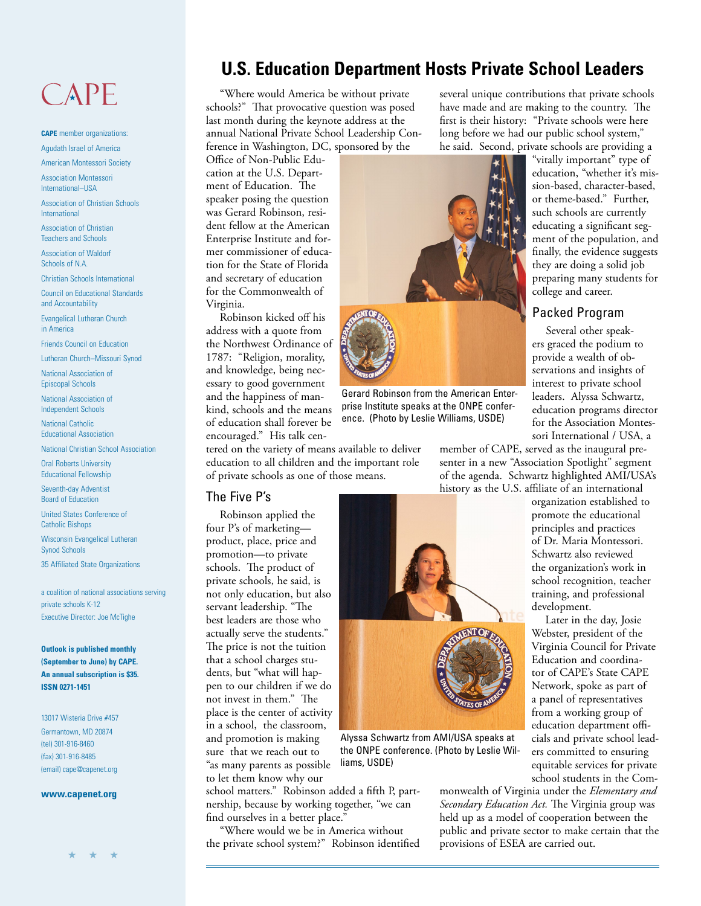## CAPE

**CAPE** member organizations: Agudath Israel of America

American Montessori Society

Association Montessori International–USA

Association of Christian Schools International

Association of Christian Teachers and Schools

Association of Waldorf Schools of N.A.

Christian Schools International

Council on Educational Standards and Accountability

Evangelical Lutheran Church in America

Friends Council on Education

Lutheran Church–Missouri Synod

National Association of Episcopal Schools

National Association of Independent Schools

National Catholic Educational Association

National Christian School Association

Oral Roberts University Educational Fellowship

Seventh-day Adventist Board of Education

United States Conference of Catholic Bishops

Wisconsin Evangelical Lutheran Synod Schools

35 Affiliated State Organizations

a coalition of national associations serving private schools K-12 Executive Director: Joe McTighe

**Outlook is published monthly (September to June) by CAPE. An annual subscription is \$35. ISSN 0271-1451**

13017 Wisteria Drive #457 Germantown, MD 20874 (tel) 301-916-8460 (fax) 301-916-8485 (email) cape@capenet.org

#### **www.capenet.org**

## **U.S. Education Department Hosts Private School Leaders**

"Where would America be without private schools?" That provocative question was posed last month during the keynote address at the annual National Private School Leadership Conference in Washington, DC, sponsored by the

Office of Non-Public Education at the U.S. Department of Education. The speaker posing the question was Gerard Robinson, resident fellow at the American Enterprise Institute and former commissioner of education for the State of Florida and secretary of education for the Commonwealth of Virginia.

Robinson kicked off his address with a quote from the Northwest Ordinance of 1787: "Religion, morality, and knowledge, being necessary to good government and the happiness of mankind, schools and the means of education shall forever be encouraged." His talk cen-

tered on the variety of means available to deliver education to all children and the important role of private schools as one of those means.

#### The Five P's

Robinson applied the four P's of marketing product, place, price and promotion—to private schools. The product of private schools, he said, is not only education, but also servant leadership. "The best leaders are those who actually serve the students." The price is not the tuition that a school charges students, but "what will happen to our children if we do not invest in them." The place is the center of activity in a school, the classroom, and promotion is making sure that we reach out to "as many parents as possible to let them know why our

school matters." Robinson added a fifth P, partnership, because by working together, "we can find ourselves in a better place.'

liams, USDE)

"Where would we be in America without the private school system?" Robinson identified several unique contributions that private schools have made and are making to the country. The first is their history: "Private schools were here long before we had our public school system," he said. Second, private schools are providing a

"vitally important" type of education, "whether it's mission-based, character-based, or theme-based." Further, such schools are currently educating a significant segment of the population, and finally, the evidence suggests they are doing a solid job preparing many students for college and career.

## Packed Program

Several other speakers graced the podium to provide a wealth of observations and insights of interest to private school leaders. Alyssa Schwartz, education programs director for the Association Montessori International / USA, a

member of CAPE, served as the inaugural presenter in a new "Association Spotlight" segment of the agenda. Schwartz highlighted AMI/USA's history as the U.S. affiliate of an international

> organization established to promote the educational principles and practices of Dr. Maria Montessori. Schwartz also reviewed the organization's work in school recognition, teacher training, and professional development.

Later in the day, Josie Webster, president of the Virginia Council for Private Education and coordinator of CAPE's State CAPE Network, spoke as part of a panel of representatives from a working group of education department officials and private school leaders committed to ensuring equitable services for private school students in the Com-

monwealth of Virginia under the *Elementary and Secondary Education Act.* The Virginia group was held up as a model of cooperation between the public and private sector to make certain that the provisions of ESEA are carried out.



Alyssa Schwartz from AMI/USA speaks at the ONPE conference. (Photo by Leslie Wil-



Gerard Robinson from the American Enterprise Institute speaks at the ONPE conference. (Photo by Leslie Williams, USDE)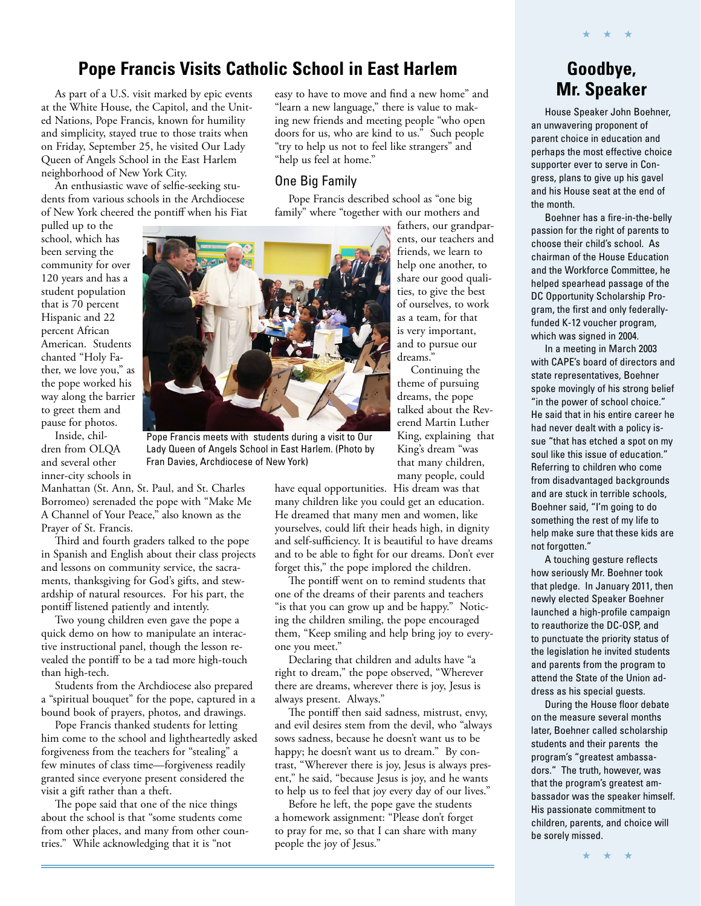## **Pope Francis Visits Catholic School in East Harlem**

As part of a U.S. visit marked by epic events at the White House, the Capitol, and the United Nations, Pope Francis, known for humility and simplicity, stayed true to those traits when on Friday, September 25, he visited Our Lady Queen of Angels School in the East Harlem neighborhood of New York City.

An enthusiastic wave of selfie-seeking students from various schools in the Archdiocese of New York cheered the pontiff when his Fiat

pulled up to the school, which has been serving the community for over 120 years and has a student population that is 70 percent Hispanic and 22 percent African American. Students chanted "Holy Father, we love you," as the pope worked his way along the barrier to greet them and pause for photos.

Inside, children from OLQA and several other inner-city schools in

Manhattan (St. Ann, St. Paul, and St. Charles Borromeo) serenaded the pope with "Make Me A Channel of Your Peace," also known as the Prayer of St. Francis.

Third and fourth graders talked to the pope in Spanish and English about their class projects and lessons on community service, the sacraments, thanksgiving for God's gifts, and stewardship of natural resources. For his part, the pontiff listened patiently and intently.

Two young children even gave the pope a quick demo on how to manipulate an interactive instructional panel, though the lesson revealed the pontiff to be a tad more high-touch than high-tech.

Students from the Archdiocese also prepared a "spiritual bouquet" for the pope, captured in a bound book of prayers, photos, and drawings.

Pope Francis thanked students for letting him come to the school and lightheartedly asked forgiveness from the teachers for "stealing" a few minutes of class time—forgiveness readily granted since everyone present considered the visit a gift rather than a theft.

The pope said that one of the nice things about the school is that "some students come from other places, and many from other countries." While acknowledging that it is "not

easy to have to move and find a new home" and "learn a new language," there is value to making new friends and meeting people "who open doors for us, who are kind to us." Such people "try to help us not to feel like strangers" and "help us feel at home."

### One Big Family

Pope Francis described school as "one big family" where "together with our mothers and

> fathers, our grandparents, our teachers and friends, we learn to help one another, to share our good qualities, to give the best of ourselves, to work as a team, for that is very important, and to pursue our dreams."

Continuing the theme of pursuing dreams, the pope talked about the Reverend Martin Luther King, explaining that King's dream "was that many children, many people, could

have equal opportunities. His dream was that many children like you could get an education. He dreamed that many men and women, like yourselves, could lift their heads high, in dignity and self-sufficiency. It is beautiful to have dreams and to be able to fight for our dreams. Don't ever forget this," the pope implored the children.

The pontiff went on to remind students that one of the dreams of their parents and teachers "is that you can grow up and be happy." Noticing the children smiling, the pope encouraged them, "Keep smiling and help bring joy to everyone you meet."

Declaring that children and adults have "a right to dream," the pope observed, "Wherever there are dreams, wherever there is joy, Jesus is always present. Always."

The pontiff then said sadness, mistrust, envy, and evil desires stem from the devil, who "always sows sadness, because he doesn't want us to be happy; he doesn't want us to dream." By contrast, "Wherever there is joy, Jesus is always present," he said, "because Jesus is joy, and he wants to help us to feel that joy every day of our lives."

Before he left, the pope gave the students a homework assignment: "Please don't forget to pray for me, so that I can share with many people the joy of Jesus."

## **Goodbye, Mr. Speaker**

★ ★ ★

House Speaker John Boehner, an unwavering proponent of parent choice in education and perhaps the most effective choice supporter ever to serve in Congress, plans to give up his gavel and his House seat at the end of the month.

Boehner has a fire-in-the-belly passion for the right of parents to choose their child's school. As chairman of the House Education and the Workforce Committee, he helped spearhead passage of the DC Opportunity Scholarship Program, the first and only federallyfunded K-12 voucher program, which was signed in 2004.

In a meeting in March 2003 with CAPE's board of directors and state representatives, Boehner spoke movingly of his strong belief "in the power of school choice." He said that in his entire career he had never dealt with a policy issue "that has etched a spot on my soul like this issue of education." Referring to children who come from disadvantaged backgrounds and are stuck in terrible schools, Boehner said, "I'm going to do something the rest of my life to help make sure that these kids are not forgotten."

A touching gesture reflects how seriously Mr. Boehner took that pledge. In January 2011, then newly elected Speaker Boehner launched a high-profile campaign to reauthorize the DC-OSP, and to punctuate the priority status of the legislation he invited students and parents from the program to attend the State of the Union address as his special guests.

During the House floor debate on the measure several months later, Boehner called scholarship students and their parents the program's "greatest ambassadors." The truth, however, was that the program's greatest ambassador was the speaker himself. His passionate commitment to children, parents, and choice will be sorely missed.

★ ★ ★



Lady Queen of Angels School in East Harlem. (Photo by

Fran Davies, Archdiocese of New York)